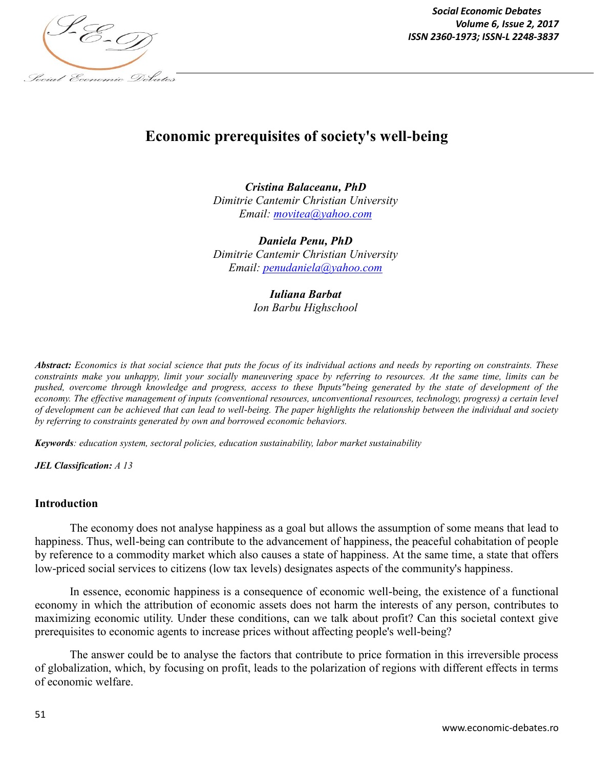

*Social Economic Debates Volume 6, Issue 2, 2017*

# **Economic prerequisites of society's well-being**

*Cristina Balaceanu, PhD Dimitrie Cantemir Christian University Email: movitea@yahoo.com*

*Daniela Penu, PhD Dimitrie Cantemir Christian University Email: penudaniela@yahoo.com*

> *Iuliana Barbat Ion Barbu Highschool*

*Abstract: Economics is that social science that puts the focus of its individual actions and needs by reporting on constraints. These constraints make you unhappy, limit your socially maneuvering space by referring to resources. At the same time, limits can be pushed, overcome through knowledge and progress, access to these "inputs" being generated by the state of development of the economy. The effective management of inputs (conventional resources, unconventional resources, technology, progress) a certain level of development can be achieved that can lead to well-being. The paper highlights the relationship between the individual and society by referring to constraints generated by own and borrowed economic behaviors.*

*Keywords: education system, sectoral policies, education sustainability, labor market sustainability*

*JEL Classification: A 13*

#### **Introduction**

The economy does not analyse happiness as a goal but allows the assumption of some means that lead to happiness. Thus, well-being can contribute to the advancement of happiness, the peaceful cohabitation of people by reference to a commodity market which also causes a state of happiness. At the same time, a state that offers low-priced social services to citizens (low tax levels) designates aspects of the community's happiness.

In essence, economic happiness is a consequence of economic well-being, the existence of a functional economy in which the attribution of economic assets does not harm the interests of any person, contributes to maximizing economic utility. Under these conditions, can we talk about profit? Can this societal context give prerequisites to economic agents to increase prices without affecting people's well-being?

The answer could be to analyse the factors that contribute to price formation in this irreversible process of globalization, which, by focusing on profit, leads to the polarization of regions with different effects in terms of economic welfare.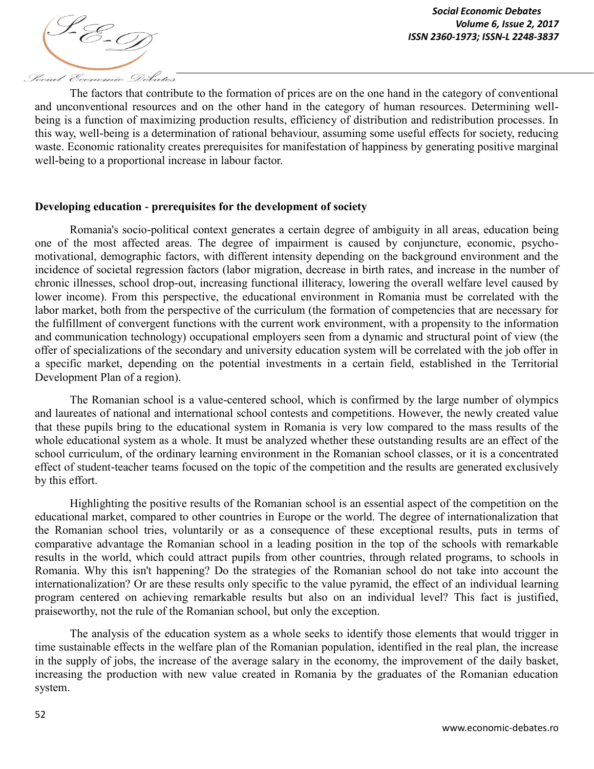

The factors that contribute to the formation of prices are on the one hand in the category of conventional and unconventional resources and on the other hand in the category of human resources. Determining wellbeing is a function of maximizing production results, efficiency of distribution and redistribution processes. In this way, well-being is a determination of rational behaviour, assuming some useful effects for society, reducing waste. Economic rationality creates prerequisites for manifestation of happiness by generating positive marginal well-being to a proportional increase in labour factor.

### **Developing education - prerequisites for the development of society**

Romania's socio-political context generates a certain degree of ambiguity in all areas, education being one of the most affected areas. The degree of impairment is caused by conjuncture, economic, psychomotivational, demographic factors, with different intensity depending on the background environment and the incidence of societal regression factors (labor migration, decrease in birth rates, and increase in the number of chronic illnesses, school drop-out, increasing functional illiteracy, lowering the overall welfare level caused by lower income). From this perspective, the educational environment in Romania must be correlated with the labor market, both from the perspective of the curriculum (the formation of competencies that are necessary for the fulfillment of convergent functions with the current work environment, with a propensity to the information and communication technology) occupational employers seen from a dynamic and structural point of view (the offer of specializations of the secondary and university education system will be correlated with the job offer in a specific market, depending on the potential investments in a certain field, established in the Territorial Development Plan of a region).

The Romanian school is a value-centered school, which is confirmed by the large number of olympics and laureates of national and international school contests and competitions. However, the newly created value that these pupils bring to the educational system in Romania is very low compared to the mass results of the whole educational system as a whole. It must be analyzed whether these outstanding results are an effect of the school curriculum, of the ordinary learning environment in the Romanian school classes, or it is a concentrated effect of student-teacher teams focused on the topic of the competition and the results are generated exclusively by this effort.

Highlighting the positive results of the Romanian school is an essential aspect of the competition on the educational market, compared to other countries in Europe or the world. The degree of internationalization that the Romanian school tries, voluntarily or as a consequence of these exceptional results, puts in terms of comparative advantage the Romanian school in a leading position in the top of the schools with remarkable results in the world, which could attract pupils from other countries, through related programs, to schools in Romania. Why this isn't happening? Do the strategies of the Romanian school do not take into account the internationalization? Or are these results only specific to the value pyramid, the effect of an individual learning program centered on achieving remarkable results but also on an individual level? This fact is justified, praiseworthy, not the rule of the Romanian school, but only the exception.

The analysis of the education system as a whole seeks to identify those elements that would trigger in time sustainable effects in the welfare plan of the Romanian population, identified in the real plan, the increase in the supply of jobs, the increase of the average salary in the economy, the improvement of the daily basket, increasing the production with new value created in Romania by the graduates of the Romanian education system.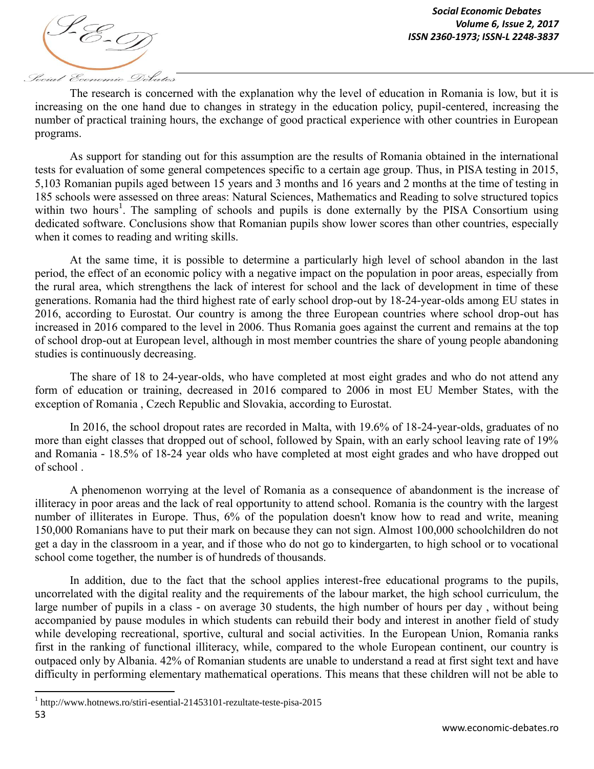

The research is concerned with the explanation why the level of education in Romania is low, but it is increasing on the one hand due to changes in strategy in the education policy, pupil-centered, increasing the number of practical training hours, the exchange of good practical experience with other countries in European programs.

As support for standing out for this assumption are the results of Romania obtained in the international tests for evaluation of some general competences specific to a certain age group. Thus, in PISA testing in 2015, 5,103 Romanian pupils aged between 15 years and 3 months and 16 years and 2 months at the time of testing in 185 schools were assessed on three areas: Natural Sciences, Mathematics and Reading to solve structured topics within two hours<sup>1</sup>. The sampling of schools and pupils is done externally by the PISA Consortium using dedicated software. Conclusions show that Romanian pupils show lower scores than other countries, especially when it comes to reading and writing skills.

At the same time, it is possible to determine a particularly high level of school abandon in the last period, the effect of an economic policy with a negative impact on the population in poor areas, especially from the rural area, which strengthens the lack of interest for school and the lack of development in time of these generations. Romania had the third highest rate of early school drop-out by 18-24-year-olds among EU states in 2016, according to Eurostat. Our country is among the three European countries where school drop-out has increased in 2016 compared to the level in 2006. Thus Romania goes against the current and remains at the top of school drop-out at European level, although in most member countries the share of young people abandoning studies is continuously decreasing.

The share of 18 to 24-year-olds, who have completed at most eight grades and who do not attend any form of education or training, decreased in 2016 compared to 2006 in most EU Member States, with the exception of Romania , Czech Republic and Slovakia, according to Eurostat.

In 2016, the school dropout rates are recorded in Malta, with 19.6% of 18-24-year-olds, graduates of no more than eight classes that dropped out of school, followed by Spain, with an early school leaving rate of 19% and Romania - 18.5% of 18-24 year olds who have completed at most eight grades and who have dropped out of school .

A phenomenon worrying at the level of Romania as a consequence of abandonment is the increase of illiteracy in poor areas and the lack of real opportunity to attend school. Romania is the country with the largest number of illiterates in Europe. Thus, 6% of the population doesn't know how to read and write, meaning 150,000 Romanians have to put their mark on because they can not sign. Almost 100,000 schoolchildren do not get a day in the classroom in a year, and if those who do not go to kindergarten, to high school or to vocational school come together, the number is of hundreds of thousands.

In addition, due to the fact that the school applies interest-free educational programs to the pupils, uncorrelated with the digital reality and the requirements of the labour market, the high school curriculum, the large number of pupils in a class - on average 30 students, the high number of hours per day , without being accompanied by pause modules in which students can rebuild their body and interest in another field of study while developing recreational, sportive, cultural and social activities. In the European Union, Romania ranks first in the ranking of functional illiteracy, while, compared to the whole European continent, our country is outpaced only by Albania. 42% of Romanian students are unable to understand a read at first sight text and have difficulty in performing elementary mathematical operations. This means that these children will not be able to

 $\overline{\phantom{a}}$ 

<sup>53</sup> <sup>1</sup> http://www.hotnews.ro/stiri-esential-21453101-rezultate-teste-pisa-2015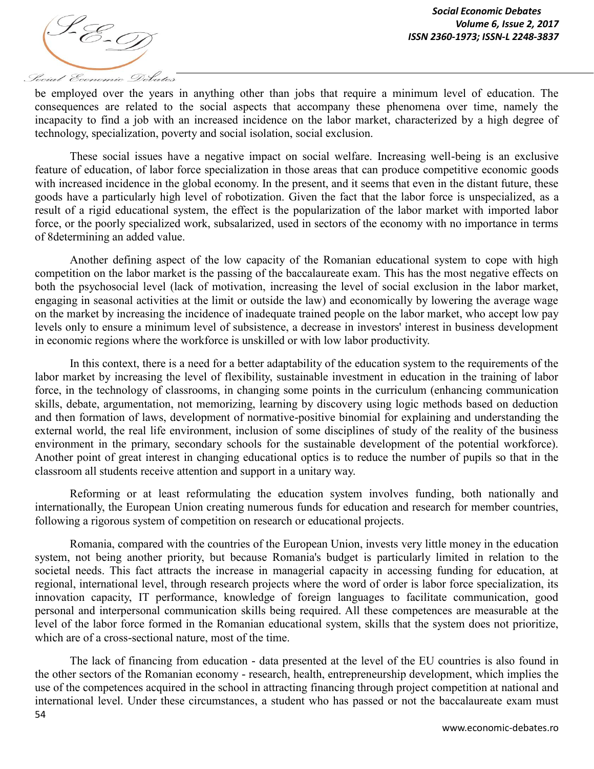

Social Economic Debates

be employed over the years in anything other than jobs that require a minimum level of education. The consequences are related to the social aspects that accompany these phenomena over time, namely the incapacity to find a job with an increased incidence on the labor market, characterized by a high degree of technology, specialization, poverty and social isolation, social exclusion.

These social issues have a negative impact on social welfare. Increasing well-being is an exclusive feature of education, of labor force specialization in those areas that can produce competitive economic goods with increased incidence in the global economy. In the present, and it seems that even in the distant future, these goods have a particularly high level of robotization. Given the fact that the labor force is unspecialized, as a result of a rigid educational system, the effect is the popularization of the labor market with imported labor force, or the poorly specialized work, subsalarized, used in sectors of the economy with no importance in terms of 8determining an added value.

Another defining aspect of the low capacity of the Romanian educational system to cope with high competition on the labor market is the passing of the baccalaureate exam. This has the most negative effects on both the psychosocial level (lack of motivation, increasing the level of social exclusion in the labor market, engaging in seasonal activities at the limit or outside the law) and economically by lowering the average wage on the market by increasing the incidence of inadequate trained people on the labor market, who accept low pay levels only to ensure a minimum level of subsistence, a decrease in investors' interest in business development in economic regions where the workforce is unskilled or with low labor productivity.

In this context, there is a need for a better adaptability of the education system to the requirements of the labor market by increasing the level of flexibility, sustainable investment in education in the training of labor force, in the technology of classrooms, in changing some points in the curriculum (enhancing communication skills, debate, argumentation, not memorizing, learning by discovery using logic methods based on deduction and then formation of laws, development of normative-positive binomial for explaining and understanding the external world, the real life environment, inclusion of some disciplines of study of the reality of the business environment in the primary, secondary schools for the sustainable development of the potential workforce). Another point of great interest in changing educational optics is to reduce the number of pupils so that in the classroom all students receive attention and support in a unitary way.

Reforming or at least reformulating the education system involves funding, both nationally and internationally, the European Union creating numerous funds for education and research for member countries, following a rigorous system of competition on research or educational projects.

Romania, compared with the countries of the European Union, invests very little money in the education system, not being another priority, but because Romania's budget is particularly limited in relation to the societal needs. This fact attracts the increase in managerial capacity in accessing funding for education, at regional, international level, through research projects where the word of order is labor force specialization, its innovation capacity, IT performance, knowledge of foreign languages to facilitate communication, good personal and interpersonal communication skills being required. All these competences are measurable at the level of the labor force formed in the Romanian educational system, skills that the system does not prioritize, which are of a cross-sectional nature, most of the time.

54 The lack of financing from education - data presented at the level of the EU countries is also found in the other sectors of the Romanian economy - research, health, entrepreneurship development, which implies the use of the competences acquired in the school in attracting financing through project competition at national and international level. Under these circumstances, a student who has passed or not the baccalaureate exam must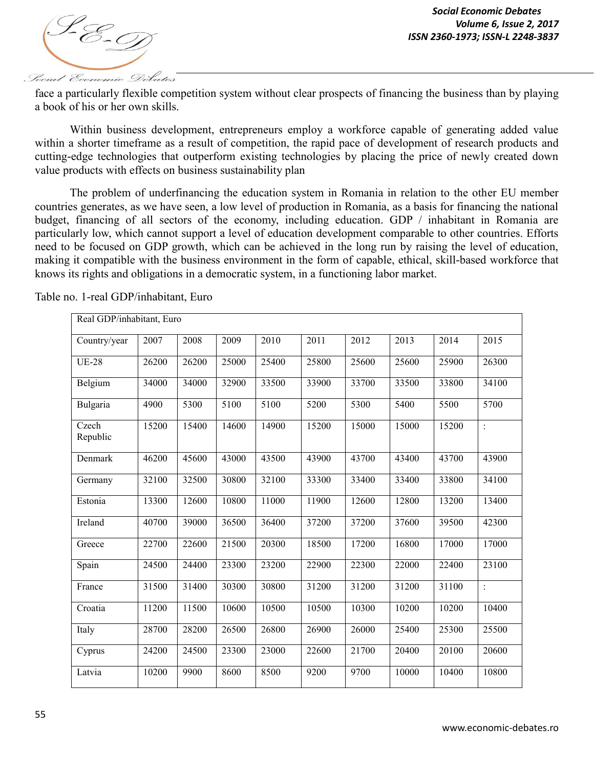

face a particularly flexible competition system without clear prospects of financing the business than by playing a book of his or her own skills.

Within business development, entrepreneurs employ a workforce capable of generating added value within a shorter timeframe as a result of competition, the rapid pace of development of research products and cutting-edge technologies that outperform existing technologies by placing the price of newly created down value products with effects on business sustainability plan

The problem of underfinancing the education system in Romania in relation to the other EU member countries generates, as we have seen, a low level of production in Romania, as a basis for financing the national budget, financing of all sectors of the economy, including education. GDP / inhabitant in Romania are particularly low, which cannot support a level of education development comparable to other countries. Efforts need to be focused on GDP growth, which can be achieved in the long run by raising the level of education, making it compatible with the business environment in the form of capable, ethical, skill-based workforce that knows its rights and obligations in a democratic system, in a functioning labor market.

| Real GDP/inhabitant, Euro |       |       |       |       |       |       |       |       |                |
|---------------------------|-------|-------|-------|-------|-------|-------|-------|-------|----------------|
| Country/year              | 2007  | 2008  | 2009  | 2010  | 2011  | 2012  | 2013  | 2014  | 2015           |
| <b>UE-28</b>              | 26200 | 26200 | 25000 | 25400 | 25800 | 25600 | 25600 | 25900 | 26300          |
| Belgium                   | 34000 | 34000 | 32900 | 33500 | 33900 | 33700 | 33500 | 33800 | 34100          |
| Bulgaria                  | 4900  | 5300  | 5100  | 5100  | 5200  | 5300  | 5400  | 5500  | 5700           |
| Czech<br>Republic         | 15200 | 15400 | 14600 | 14900 | 15200 | 15000 | 15000 | 15200 | $\ddot{\cdot}$ |
| Denmark                   | 46200 | 45600 | 43000 | 43500 | 43900 | 43700 | 43400 | 43700 | 43900          |
| Germany                   | 32100 | 32500 | 30800 | 32100 | 33300 | 33400 | 33400 | 33800 | 34100          |
| Estonia                   | 13300 | 12600 | 10800 | 11000 | 11900 | 12600 | 12800 | 13200 | 13400          |
| Ireland                   | 40700 | 39000 | 36500 | 36400 | 37200 | 37200 | 37600 | 39500 | 42300          |
| Greece                    | 22700 | 22600 | 21500 | 20300 | 18500 | 17200 | 16800 | 17000 | 17000          |
| Spain                     | 24500 | 24400 | 23300 | 23200 | 22900 | 22300 | 22000 | 22400 | 23100          |
| France                    | 31500 | 31400 | 30300 | 30800 | 31200 | 31200 | 31200 | 31100 | $\ddot{\cdot}$ |
| Croatia                   | 11200 | 11500 | 10600 | 10500 | 10500 | 10300 | 10200 | 10200 | 10400          |
| Italy                     | 28700 | 28200 | 26500 | 26800 | 26900 | 26000 | 25400 | 25300 | 25500          |
| Cyprus                    | 24200 | 24500 | 23300 | 23000 | 22600 | 21700 | 20400 | 20100 | 20600          |
| Latvia                    | 10200 | 9900  | 8600  | 8500  | 9200  | 9700  | 10000 | 10400 | 10800          |

Table no. 1-real GDP/inhabitant, Euro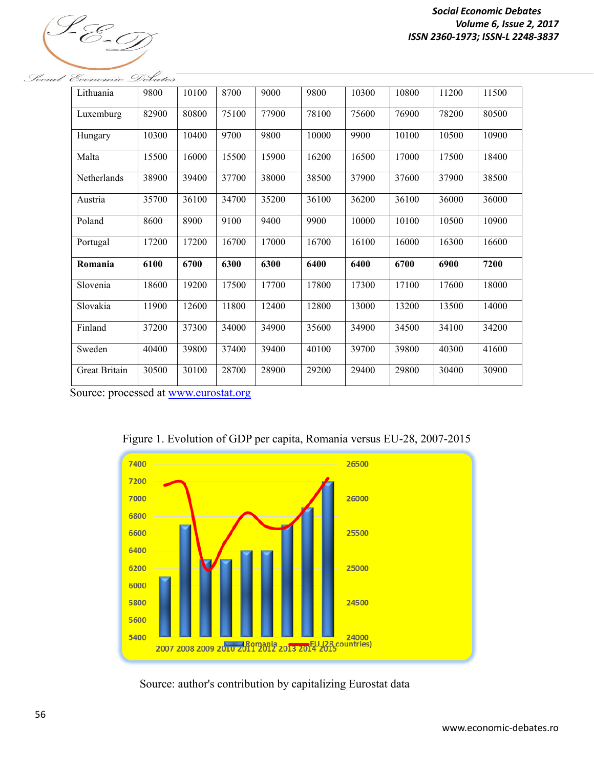

| Lithuania            | 9800  | 10100 | 8700  | 9000  | 9800  | 10300 | 10800 | 11200 | 11500 |
|----------------------|-------|-------|-------|-------|-------|-------|-------|-------|-------|
| Luxemburg            | 82900 | 80800 | 75100 | 77900 | 78100 | 75600 | 76900 | 78200 | 80500 |
| Hungary              | 10300 | 10400 | 9700  | 9800  | 10000 | 9900  | 10100 | 10500 | 10900 |
| Malta                | 15500 | 16000 | 15500 | 15900 | 16200 | 16500 | 17000 | 17500 | 18400 |
| Netherlands          | 38900 | 39400 | 37700 | 38000 | 38500 | 37900 | 37600 | 37900 | 38500 |
| Austria              | 35700 | 36100 | 34700 | 35200 | 36100 | 36200 | 36100 | 36000 | 36000 |
| Poland               | 8600  | 8900  | 9100  | 9400  | 9900  | 10000 | 10100 | 10500 | 10900 |
| Portugal             | 17200 | 17200 | 16700 | 17000 | 16700 | 16100 | 16000 | 16300 | 16600 |
| Romania              | 6100  | 6700  | 6300  | 6300  | 6400  | 6400  | 6700  | 6900  | 7200  |
| Slovenia             | 18600 | 19200 | 17500 | 17700 | 17800 | 17300 | 17100 | 17600 | 18000 |
| Slovakia             | 11900 | 12600 | 11800 | 12400 | 12800 | 13000 | 13200 | 13500 | 14000 |
| Finland              | 37200 | 37300 | 34000 | 34900 | 35600 | 34900 | 34500 | 34100 | 34200 |
| Sweden               | 40400 | 39800 | 37400 | 39400 | 40100 | 39700 | 39800 | 40300 | 41600 |
| <b>Great Britain</b> | 30500 | 30100 | 28700 | 28900 | 29200 | 29400 | 29800 | 30400 | 30900 |

Social Economic Debates

Source: processed at www.eurostat.org



Figure 1. Evolution of GDP per capita, Romania versus EU-28, 2007-2015

Source: author's contribution by capitalizing Eurostat data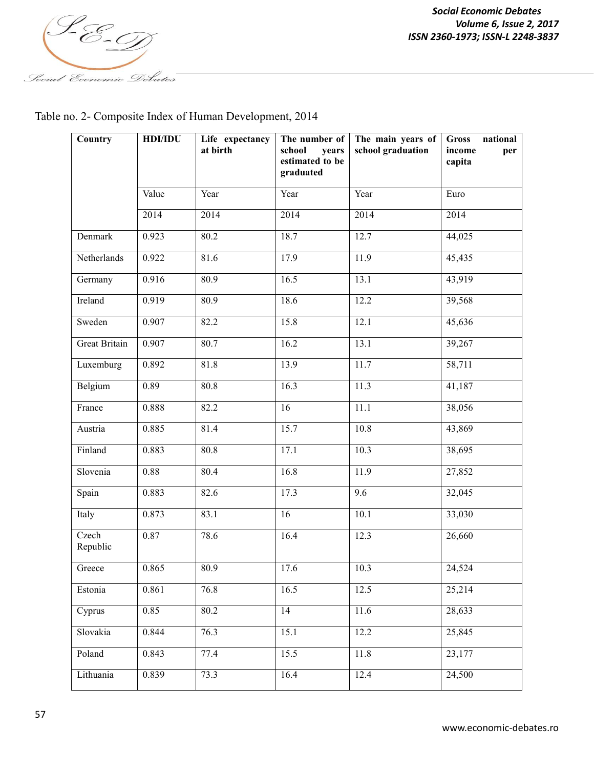

Table no. 2- Composite Index of Human Development, 2014

| Country              | <b>HDI/IDU</b> | Life expectancy<br>at birth | The number of<br>school<br>years<br>estimated to be<br>graduated | The main years of<br>school graduation | <b>Gross</b><br>national<br>income<br>per<br>capita |
|----------------------|----------------|-----------------------------|------------------------------------------------------------------|----------------------------------------|-----------------------------------------------------|
|                      | Value          | Year                        | Year                                                             | Year                                   | Euro                                                |
|                      | 2014           | 2014                        | 2014                                                             | 2014                                   | 2014                                                |
| Denmark              | 0.923          | 80.2                        | 18.7                                                             | 12.7                                   | 44,025                                              |
| Netherlands          | 0.922          | 81.6                        | 17.9                                                             | 11.9                                   | 45,435                                              |
| Germany              | 0.916          | 80.9                        | 16.5                                                             | 13.1                                   | 43,919                                              |
| Ireland              | 0.919          | 80.9                        | 18.6                                                             | 12.2                                   | 39,568                                              |
| Sweden               | 0.907          | 82.2                        | 15.8                                                             | 12.1                                   | 45,636                                              |
| <b>Great Britain</b> | 0.907          | 80.7                        | 16.2                                                             | 13.1                                   | 39,267                                              |
| Luxemburg            | 0.892          | 81.8                        | 13.9                                                             | 11.7                                   | 58,711                                              |
| Belgium              | 0.89           | 80.8                        | 16.3                                                             | 11.3                                   | 41,187                                              |
| France               | 0.888          | 82.2                        | 16                                                               | 11.1                                   | 38,056                                              |
| Austria              | 0.885          | 81.4                        | 15.7                                                             | 10.8                                   | 43,869                                              |
| Finland              | 0.883          | 80.8                        | 17.1                                                             | 10.3                                   | 38,695                                              |
| Slovenia             | 0.88           | 80.4                        | 16.8                                                             | 11.9                                   | 27,852                                              |
| Spain                | 0.883          | 82.6                        | 17.3                                                             | 9.6                                    | 32,045                                              |
| Italy                | 0.873          | 83.1                        | 16                                                               | 10.1                                   | 33,030                                              |
| Czech<br>Republic    | 0.87           | 78.6                        | 16.4                                                             | 12.3                                   | 26,660                                              |
| Greece               | 0.865          | 80.9                        | 17.6                                                             | $\overline{10.3}$                      | 24,524                                              |
| Estonia              | 0.861          | 76.8                        | 16.5                                                             | 12.5                                   | 25,214                                              |
| Cyprus               | 0.85           | 80.2                        | 14                                                               | 11.6                                   | 28,633                                              |
| Slovakia             | 0.844          | 76.3                        | 15.1                                                             | 12.2                                   | 25,845                                              |
| Poland               | 0.843          | 77.4                        | 15.5                                                             | 11.8                                   | 23,177                                              |
| Lithuania            | 0.839          | 73.3                        | 16.4                                                             | 12.4                                   | 24,500                                              |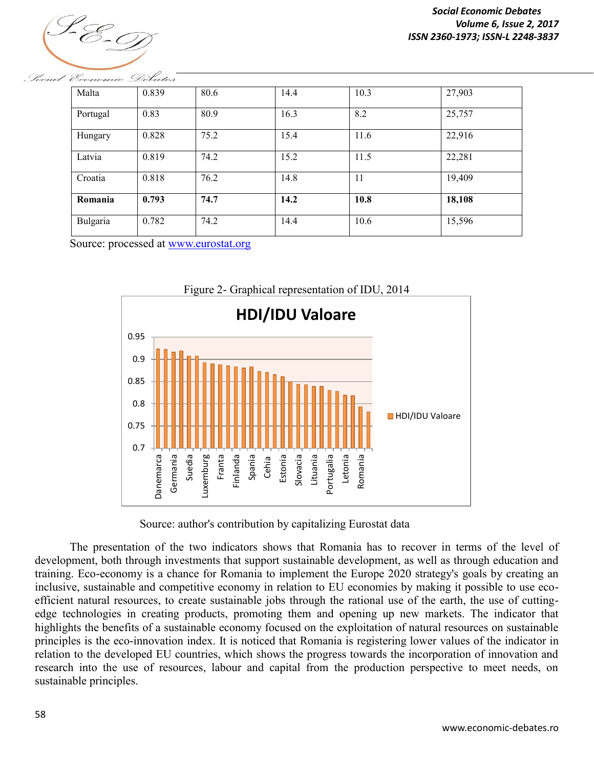

*Social Economic Debates Volume 6, Issue 2, 2017 ISSN 2360-1973; ISSN-L 2248-3837*

| Malta    | 0.839 | 80.6 | 14.4 | 10.3 | 27,903 |
|----------|-------|------|------|------|--------|
| Portugal | 0.83  | 80.9 | 16.3 | 8.2  | 25,757 |
| Hungary  | 0.828 | 75.2 | 15.4 | 11.6 | 22,916 |
| Latvia   | 0.819 | 74.2 | 15.2 | 11.5 | 22,281 |
| Croatia  | 0.818 | 76.2 | 14.8 | 11   | 19,409 |
| Romania  | 0.793 | 74.7 | 14.2 | 10.8 | 18,108 |
| Bulgaria | 0.782 | 74.2 | 14.4 | 10.6 | 15,596 |

Social Economic Debates

Source: processed at www.eurostat.org



Source: author's contribution by capitalizing Eurostat data

The presentation of the two indicators shows that Romania has to recover in terms of the level of development, both through investments that support sustainable development, as well as through education and training. Eco-economy is a chance for Romania to implement the Europe 2020 strategy's goals by creating an inclusive, sustainable and competitive economy in relation to EU economies by making it possible to use ecoefficient natural resources, to create sustainable jobs through the rational use of the earth, the use of cuttingedge technologies in creating products, promoting them and opening up new markets. The indicator that highlights the benefits of a sustainable economy focused on the exploitation of natural resources on sustainable principles is the eco-innovation index. It is noticed that Romania is registering lower values of the indicator in relation to the developed EU countries, which shows the progress towards the incorporation of innovation and research into the use of resources, labour and capital from the production perspective to meet needs, on sustainable principles.